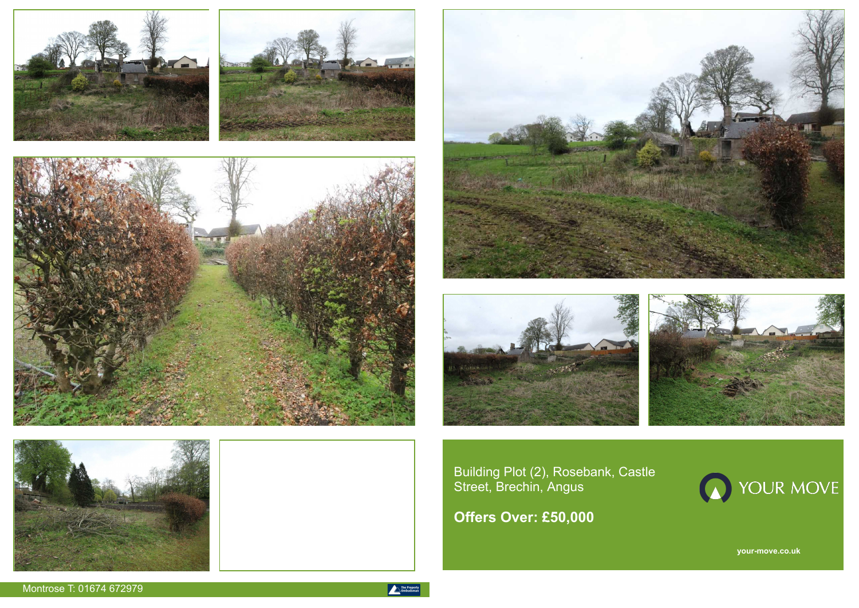**your-move.co.uk**













Building Plot (2), Rosebank, Castle Street, Brechin, Angus

**Offers Over: £50,000**

Montrose T: 01674 672979